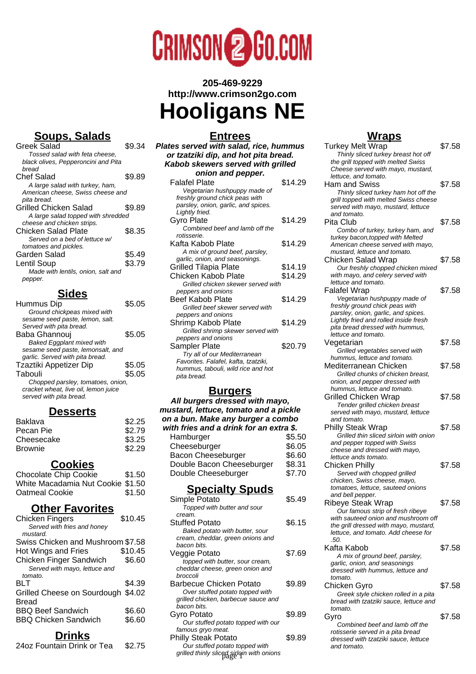

**205-469-9229 http://www.crimson2go.com Hooligans NE**

## **Soups, Salads**

| Greek Salad                         | \$9.34 |
|-------------------------------------|--------|
|                                     |        |
| Tossed salad with feta cheese.      |        |
| black olives, Pepperoncini and Pita |        |
| hread                               |        |
| Chef Salad                          | \$9.89 |
| A large salad with turkey, ham,     |        |
| American cheese, Swiss cheese and   |        |
| pita bread.                         |        |
| Grilled Chicken Salad               | \$9.89 |
| A large salad topped with shredded  |        |
|                                     |        |
| cheese and chicken strips.          |        |
| Chicken Salad Plate                 | \$8.35 |
| Served on a bed of lettuce w/       |        |
| tomatoes and pickles.               |        |
| Garden Salad                        | \$5.49 |
| Lentil Soup                         | \$3.79 |
| Made with lentils, onion, salt and  |        |
| pepper.                             |        |

### **Sides**

| Hummus Dip                           | \$5.05 |
|--------------------------------------|--------|
| Ground chickpeas mixed with          |        |
| sesame seed paste, lemon, salt.      |        |
| Served with pita bread.              |        |
| Baba Ghannouj                        | \$5.05 |
| <b>Baked Eggplant mixed with</b>     |        |
| sesame seed paste, lemonsalt, and    |        |
| garlic. Served with pita bread.      |        |
| Tzaztiki Appetizer Dip               | \$5.05 |
| Tabouli                              | \$5.05 |
| Chopped parsley, tomatoes, onion,    |        |
| cracket wheat, live oil, lemon juice |        |
| served with pita bread.              |        |

#### **Desserts**

| <b>Baklava</b> | \$2.25 |
|----------------|--------|
| Pecan Pie      | \$2.79 |
| Cheesecake     | \$3.25 |
| <b>Brownie</b> | \$2.29 |
|                |        |

#### **Cookies**

| <b>Chocolate Chip Cookie</b>      | \$1.50 |
|-----------------------------------|--------|
| White Macadamia Nut Cookie \$1.50 |        |
| Oatmeal Cookie                    | \$1.50 |

## **Other Favorites**

| Chicken Fingers                    | \$10.45 |
|------------------------------------|---------|
| Served with fries and honey        |         |
| mustard.                           |         |
| Swiss Chicken and Mushroom \$7.58  |         |
| Hot Wings and Fries                | \$10.45 |
| Chicken Finger Sandwich            | \$6.60  |
| Served with mayo, lettuce and      |         |
| tomato.                            |         |
| BLT                                | \$4.39  |
| Grilled Cheese on Sourdough \$4.02 |         |
| <b>Bread</b>                       |         |
| <b>BBQ Beef Sandwich</b>           | \$6.60  |
| <b>BBQ Chicken Sandwich</b>        | \$6.60  |
|                                    |         |

#### **Drinks**

24oz Fountain Drink or Tea \$2.75

### **Entrees**

| <b>Entrees</b>                                    |         |
|---------------------------------------------------|---------|
| Plates served with salad, rice, hummus            |         |
| or tzatziki dip, and hot pita bread.              |         |
| Kabob skewers served with grilled                 |         |
| onion and pepper.                                 |         |
| <b>Falafel Plate</b>                              | \$14.29 |
| Vegetarian hushpuppy made of                      |         |
| freshly ground chick peas with                    |         |
| parsley, onion, garlic, and spices.               |         |
| Lightly fried.                                    |         |
| Gyro Plate                                        | \$14.29 |
| Combined beef and lamb off the                    |         |
| rotisserie.                                       |         |
| Kafta Kabob Plate                                 | \$14.29 |
| A mix of ground beef, parsley,                    |         |
| garlic, onion, and seasonings.                    |         |
| Grilled Tilapia Plate                             | \$14.19 |
| Chicken Kabob Plate                               | \$14.29 |
| Grilled chicken skewer served with                |         |
| peppers and onions                                |         |
| Beef Kabob Plate                                  | \$14.29 |
| Grilled beef skewer served with                   |         |
| peppers and onions                                |         |
| Shrimp Kabob Plate                                | \$14.29 |
| Grilled shrimp skewer served with                 |         |
| peppers and onions                                |         |
| Sampler Plate                                     | \$20.79 |
| Try all of our Mediterranean                      |         |
| Favorites. Falafel, kafta, tzatziki,              |         |
| hummus, tabouli, wild rice and hot<br>pita bread. |         |
|                                                   |         |
| <b>Kurners</b>                                    |         |

#### **Burgers**

**All burgers dressed with mayo, mustard, lettuce, tomato and a pickle on a bun. Make any burger a combo with fries and a drink for an extra \$.**<br>Hamburger \$5.50 Hamburger \$5.50<br>Cheeseburger \$6.05 Cheeseburger \$6.05<br>Bacon Cheeseburger \$6.60 Bacon Cheeseburger Double Bacon Cheeseburger \$8.31<br>Double Cheeseburger \$7.70 Double Cheeseburger **Specialty Spuds** Simple Potato \$5.49 Topped with butter and sour cream.

| cream.                                    |        |
|-------------------------------------------|--------|
| <b>Stuffed Potato</b>                     | \$6.15 |
| Baked potato with butter, sour            |        |
| cream, cheddar, green onions and          |        |
| hacon hits.                               |        |
| Veggie Potato                             | \$7.69 |
| topped with butter, sour cream,           |        |
| cheddar cheese, green onion and           |        |
| broccoli                                  |        |
| Barbecue Chicken Potato                   | \$9.89 |
| Over stuffed potato topped with           |        |
| grilled chicken, barbecue sauce and       |        |
| hacon hits.                               |        |
| Gyro Potato                               | \$9.89 |
| Our stuffed potato topped with our        |        |
| famous gryo meat.                         |        |
| <b>Philly Steak Potato</b>                | \$9.89 |
| Our stuffed potato topped with            |        |
| grilled thinly sliced sirloin with onions |        |
|                                           |        |

### **Wraps**

| <b>Turkey Melt Wrap</b><br>Thinly sliced turkey breast hot off                 | \$7.58 |
|--------------------------------------------------------------------------------|--------|
| the grill topped with melted Swiss                                             |        |
| Cheese served with mayo, mustard,<br>lettuce, and tomato.                      |        |
| Ham and Swiss                                                                  | \$7.58 |
| Thinly sliced turkey ham hot off the                                           |        |
| grill topped with melted Swiss cheese<br>served with mayo, mustard, lettuce    |        |
| and tomato.                                                                    |        |
| Pita Club                                                                      | \$7.58 |
| Combo of turkey, turkey ham, and                                               |        |
| turkey bacon, topped with Melted<br>American cheese served with mayo,          |        |
| mustard, lettuce and tomato.                                                   |        |
| Chicken Salad Wrap                                                             | \$7.58 |
| Our freshly chopped chicken mixed                                              |        |
| with mayo, and celery served with<br>lettuce and tomato.                       |        |
| Falafel Wrap                                                                   | \$7.58 |
| Vegetarian hushpuppy made of                                                   |        |
| freshly ground chick peas with                                                 |        |
| parsley, onion, garlic, and spices.<br>Lightly fried and rolled inside fresh   |        |
| pita bread dressed with hummus,                                                |        |
| lettuce and tomato.                                                            |        |
| Vegetarian                                                                     | \$7.58 |
| Grilled vegetables served with<br>hummus, lettuce and tomato.                  |        |
| Mediterranean Chicken                                                          | \$7.58 |
| Grilled chunks of chicken breast.                                              |        |
| onion, and pepper dressed with                                                 |        |
| hummus, lettuce and tomato.                                                    |        |
| <b>Grilled Chicken Wrap</b><br>Tender grilled chicken breast                   | \$7.58 |
| served with mayo, mustard, lettuce                                             |        |
| and tomato.                                                                    |        |
| Philly Steak Wrap                                                              | \$7.58 |
| Grilled thin sliced sirloin with onion<br>and pepper topped with Swiss         |        |
| cheese and dressed with mayo,                                                  |        |
| lettuce ands tomato.                                                           |        |
| <b>Chicken Philly</b>                                                          | \$7.58 |
| Served with chopped grilled                                                    |        |
| chicken, Swiss cheese, mayo,<br>tomatoes, lettuce, sauteed onions              |        |
| and bell pepper.                                                               |        |
| Ribeye Steak Wrap                                                              | \$7.58 |
| Our famous strip of fresh ribeye                                               |        |
| with sauteed onion and mushroom off<br>the grill dressed with mayo, mustard,   |        |
| lettuce, and tomato. Add cheese for                                            |        |
| .50.                                                                           |        |
| Kafta Kabob                                                                    | \$7.58 |
| A mix of ground beef, parsley,<br>garlic, onion, and seasonings                |        |
| dressed with hummus, lettuce and                                               |        |
| tomato.                                                                        |        |
| Chicken Gyro                                                                   | \$7.58 |
| Greek style chicken rolled in a pita<br>bread with tzatziki sauce, lettuce and |        |
| tomato.                                                                        |        |
| Gyro                                                                           | \$7.58 |
| Combined beef and lamb off the                                                 |        |
| rotisserie served in a pita bread                                              |        |
| dressed with tzatziki sauce, lettuce<br>and tomato.                            |        |
|                                                                                |        |